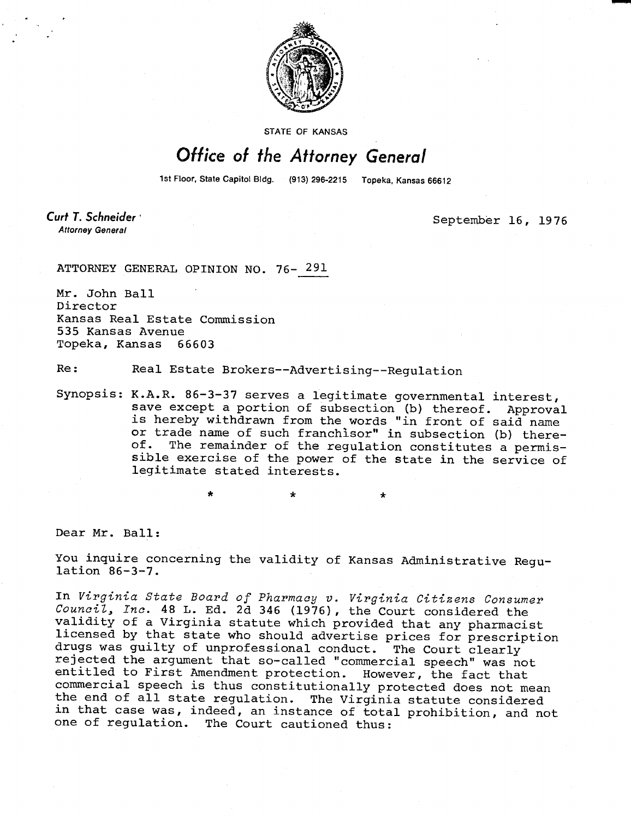

STATE OF KANSAS

## Office of the Attorney General

1st Floor, State Capitol Bldg. (913) 296-2215 Topeka, Kansas 66612

 $\star$ 

Curt T. Schneider **Attorney General** 

September 16, 1976

ATTORNEY GENERAL OPINION NO. 76- 291

Mr. John Ball Director Kansas Real Estate Commission 535 Kansas Avenue Topeka, Kansas 66603

Re: Real Estate Brokers--Advertising--Regulation

Synopsis: K.A.R. 86-3-37 serves a legitimate governmental interest, save except a portion of subsection (b) thereof. Approval is hereby withdrawn from the words "in front of said name or trade name of such franchisor" in subsection (b) there-<br>of. The remainder of the requistion constitutes a permis-The remainder of the regulation constitutes a permissible exercise of the power of the state in the service of legitimate stated interests.

Dear Mr. Ball:

You inquire concerning the validity of Kansas Administrative Regulation 86-3-7.

In Virginia State Board of Pharmacy v. Virginia Citizens Consumer Council, Inc. 48 L. Ed. 2d 346 (1976), the Court considered the validity of a Virginia statute which provided that any pharmacist licensed by that state who should advertise prices for prescription drugs was guilty of unprofessional conduct. The Court clearly rejected the argument that so-called "commercial speech" was not entitled to First Amendment protection. However, the fact that commercial speech is thus constitutionally protected does not mean the end of all state regulation. The Virginia statute considered in that case was, indeed, an instance of total prohibition, and not one of regulation. The Court cautioned thus: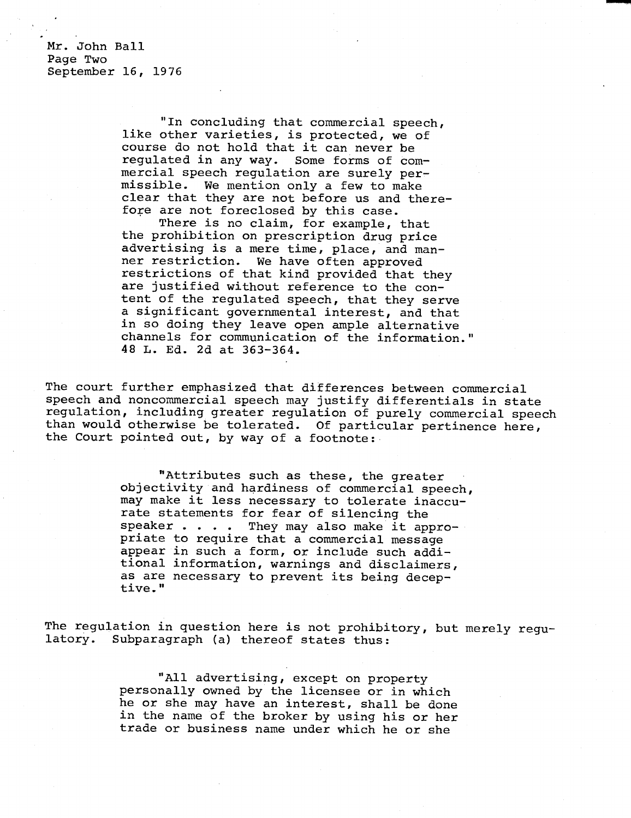Mr. John Ball Page Two September 16, 1976

> "In concluding that commercial speech, like other varieties, is protected, we of course do not hold that it can never be regulated in any way. Some forms of commercial speech regulation are surely permissible. We mention only a few to make clear that they are not before us and therefore are not foreclosed by this case.

There is no claim, for example, that the prohibition on prescription drug price advertising is a mere time, place, and manner restriction. We have often approved restrictions of that kind provided that they are justified without reference to the content of the regulated speech, that they serve a significant governmental interest, and that in so doing they leave open ample alternative channels for communication of the information." 48 L. Ed. 2d at 363-364.

The court further emphasized that differences between commercial speech and noncommercial speech may justify differentials in state regulation, including greater regulation of purely commercial speech than would otherwise be tolerated. Of particular pertinence here, the Court pointed out, by way of a footnote:

> "Attributes such as these, the greater objectivity and hardiness of commercial speech, may make it less necessary to tolerate inaccurate statements for fear of silencing the speaker . . . . They may also make it appropriate to require that a commercial message appear in such a form, or include such additional information, warnings and disclaimers, as are necessary to prevent its being deceptive."

The regulation in question here is not prohibitory, but merely regulatory. Subparagraph (a) thereof states thus:

> "All advertising, except on property personally owned by the licensee or in which he or she may have an interest, shall be done in the name of the broker by using his or her trade or business name under which he or she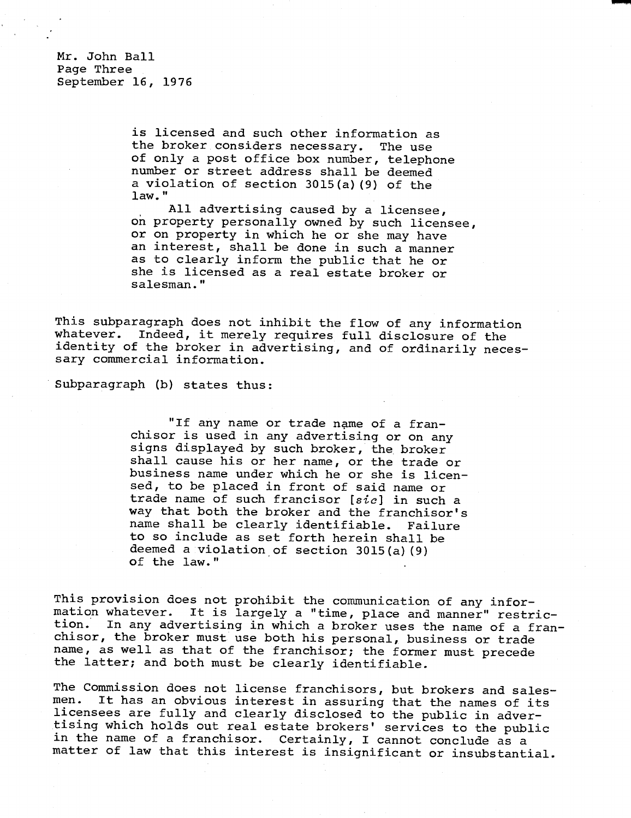Mr. John Ball Page Three September 16, 1976

> is licensed and such other information as the broker considers necessary. The use of only a post office box number, telephone number or street address shall be deemed a violation of section 3015(a)(9) of the law."

All advertising caused by a licensee, on property personally owned by such licensee, or on property in which he or she may have an interest, shall be done in such a manner as to clearly inform the public that he or she is licensed as a real estate broker or salesman."

This subparagraph does not inhibit the flow of any information whatever. Indeed, it merely requires full disclosure of the identity of the broker in advertising, and of ordinarily necessary commercial information.

Subparagraph (b) states thus:

"If any name or trade name of a franchisor is used in any advertising or on any signs displayed by such broker, the broker shall cause his or her name, or the trade or business name under which he or she is licensed, to be placed in front of said name or trade name of such francisor [sic] in such a way that both the broker and the franchisor's name shall be clearly identifiable. Failure to so include as set forth herein shall be deemed a violation of section 3015(a)(9) of the law."

This provision does not prohibit the communication of any information whatever. It is largely a "time, place and manner" restriction. In any advertising in which a broker uses the name of a franchisor, the broker must use both his personal, business or trade name, as well as that of the franchisor; the former must precede the latter; and both must be clearly identifiable.

The Commission does not license franchisors, but brokers and sales-<br>men. It has an obvious interest in assuring that the names of its It has an obvious interest in assuring that the names of its licensees are fully and clearly disclosed to the public in advertising which holds out real estate brokers' services to the public in the name of a franchisor. Certainly, I cannot conclude as a matter of law that this interest is insignificant or insubstantial.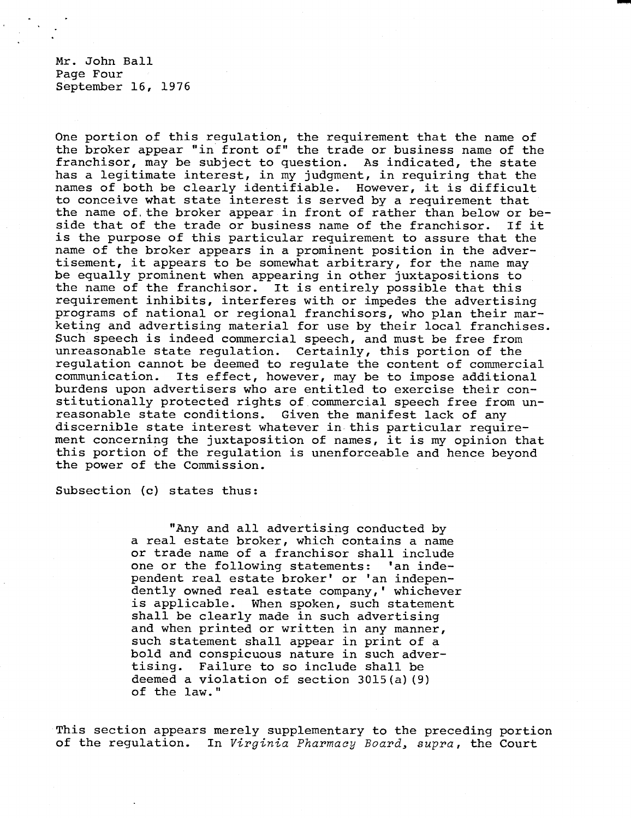Mr. John Ball Page Four September 16, 1976

One portion of this regulation, the requirement that the name of the broker appear "in front of" the trade or business name of the franchisor, may be subject to question. As indicated, the state has a legitimate interest, in my judgment, in requiring that the names of both be clearly identifiable. However, it is difficult to conceive what state interest is served by a requirement that the name of, the broker appear in front of rather than below or beside that of the trade or business name of the franchisor. If it is the purpose of this particular requirement to assure that the name of the broker appears in a prominent position in the advertisement, it appears to be somewhat arbitrary, for the name may be equally prominent when appearing in other juxtapositions to the name of the franchisor. It is entirely possible that this requirement inhibits, interferes with or impedes the advertising programs of national or regional franchisors, who plan their marketing and advertising material for use by their local franchises. Such speech is indeed commercial speech, and must be free from unreasonable state regulation. Certainly, this portion of the regulation cannot be deemed to regulate the content of commercial communication. Its effect, however, may be to impose additional burdens upon advertisers who are entitled to exercise their constitutionally protected rights of commercial speech free from unreasonable state conditions. Given the manifest lack of any discernible state interest whatever in this particular requirement concerning the juxtaposition of names, it is my opinion that this portion of the regulation is unenforceable and hence beyond the power of the Commission.

Subsection (c) states thus:

"Any and all advertising conducted by a real estate broker, which contains a name or trade name of a franchisor shall include one or the following statements: 'an independent real estate broker' or 'an independently owned real estate company,' whichever is applicable. When spoken, such statement shall be clearly made in such advertising and when printed or written in any manner, such statement shall appear in print of a bold and conspicuous nature in such advertising. Failure to so include shall be deemed a violation of section 3015(a)(9) of the law."

This section appears merely supplementary to the preceding portion of the regulation. In Virginia Pharmacy Board, supra, the Court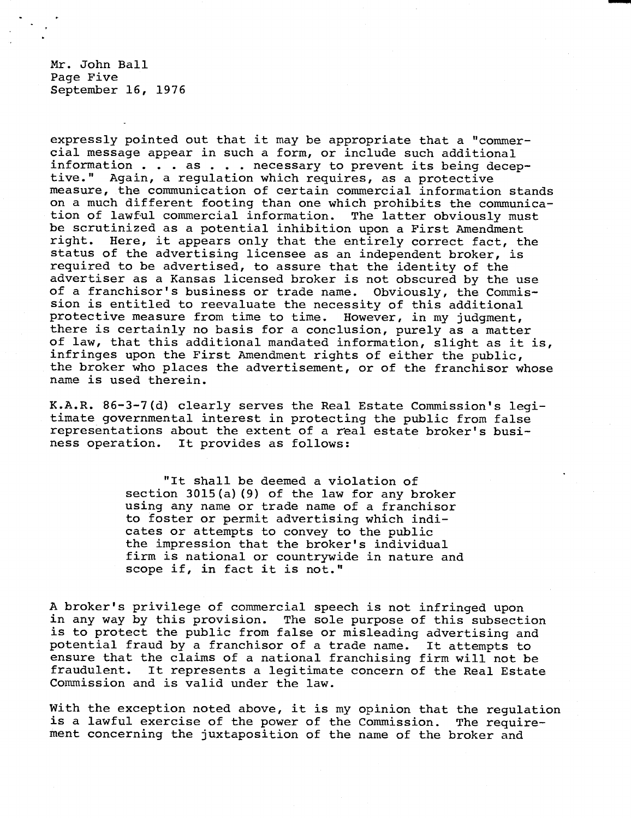Mr. John Ball Page Five September 16, 1976

expressly pointed out that it may be appropriate that a "commercial message appear in such a form, or include such additional information . . . as . . . necessary to prevent its being deceptive." Again, a regulation which requires, as a protective measure, the communication of certain commercial information stands on a much different footing than one which prohibits the communication of lawful commercial information. The latter obviously must be scrutinized as a potential inhibition upon a First Amendment right. Here, it appears only that the entirely correct fact, the status of the advertising licensee as an independent broker, is required to be advertised, to assure that the identity of the advertiser as a Kansas licensed broker is not obscured by the use of a franchisor's business or trade name. Obviously, the Commission is entitled to reevaluate the necessity of this additional<br>protective measure from time to time. However, in my judgment, protective measure from time to time. there is certainly no basis for a conclusion, purely as a matter of law, that this additional mandated information, slight as it is, infringes upon the First Amendment rights of either the public, the broker who places the advertisement, or of the franchisor whose name is used therein.

K.A.R. 86-3-7(d) clearly serves the Real Estate Commission's legitimate governmental interest in protecting the public from false representations about the extent of a real estate broker's business operation. It provides as follows:

> "It shall be deemed a violation of section 3015(a)(9) of the law for any broker using any name or trade name of a franchisor to foster or permit advertising which indicates or attempts to convey to the public the impression that the broker's individual firm is national or countrywide in nature and scope if, in fact it is not."

A broker's privilege of commercial speech is not infringed upon in any way by this provision. The sole purpose of this subsection is to protect the public from false or misleading advertising and potential fraud by a franchisor of a trade name. It attempts to ensure that the claims of a national franchising firm will not be fraudulent. It represents a legitimate concern of the Real Estate It represents a legitimate concern of the Real Estate Commission and is valid under the law.

With the exception noted above, it is my opinion that the regulation is a lawful exercise of the power of the Commission. The requirement concerning the juxtaposition of the name of the broker and